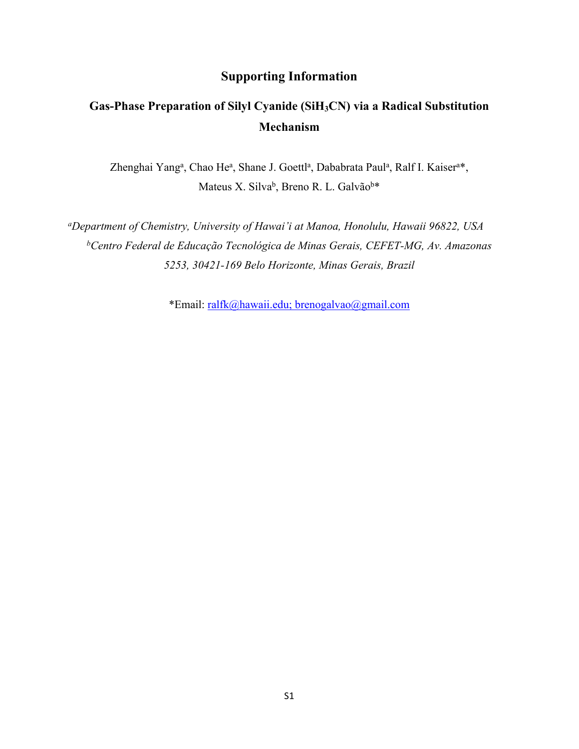## **Supporting Information**

## **Gas-Phase Preparation of Silyl Cyanide (SiH3CN) via a Radical Substitution Mechanism**

Zhenghai Yang<sup>a</sup>, Chao He<sup>a</sup>, Shane J. Goettl<sup>a</sup>, Dababrata Paul<sup>a</sup>, Ralf I. Kaiser<sup>a\*</sup>, Mateus X. Silva<sup>b</sup>, Breno R. L. Galvão<sup>b\*</sup>

*<sup>a</sup>Department of Chemistry, University of Hawai'i at Manoa, Honolulu, Hawaii 96822, USA <sup>b</sup>Centro Federal de Educação Tecnológica de Minas Gerais, CEFET-MG, Av. Amazonas 5253, 30421-169 Belo Horizonte, Minas Gerais, Brazil*

\*Email: [ralfk@hawaii.edu;](mailto:ralfk@hawaii.edu) [brenogalvao@gmail.com](mailto:brenogalvao@gmail.com)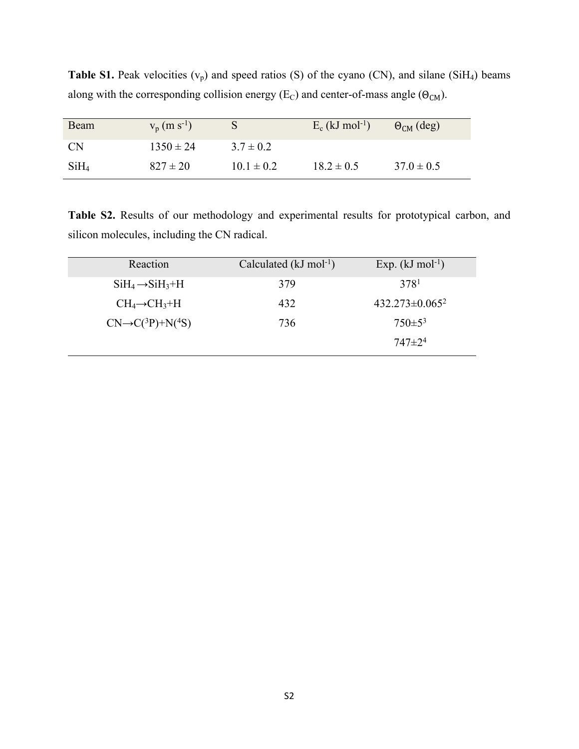| Beam             | $V_p(m s^{-1})$ |                | $E_c$ (kJ mol <sup>-1</sup> ) | $\Theta_{CM}$ (deg) |
|------------------|-----------------|----------------|-------------------------------|---------------------|
| <b>CN</b>        | $1350 \pm 24$   | $3.7 \pm 0.2$  |                               |                     |
| SiH <sub>4</sub> | $827 \pm 20$    | $10.1 \pm 0.2$ | $18.2 \pm 0.5$                | $37.0 \pm 0.5$      |

**Table S1.** Peak velocities  $(v_p)$  and speed ratios (S) of the cyano (CN), and silane (SiH<sub>4</sub>) beams along with the corresponding collision energy (E<sub>C</sub>) and center-of-mass angle ( $\Theta_{CM}$ ).

**Table S2.** Results of our methodology and experimental results for prototypical carbon, and silicon molecules, including the CN radical.

| Reaction                         | Calculated ( $kJ \text{ mol}^{-1}$ ) | Exp. $(kJ \text{ mol}^{-1})$ |
|----------------------------------|--------------------------------------|------------------------------|
| $SiH_4 \rightarrow SiH_3 + H$    | 379                                  | 378 <sup>1</sup>             |
| $CH_4 \rightarrow CH_3 + H$      | 432                                  | $432.273 \pm 0.065^2$        |
| $CN \rightarrow C(^3P) + N(^4S)$ | 736                                  | $750 \pm 5^3$                |
|                                  |                                      | $747 + 2^4$                  |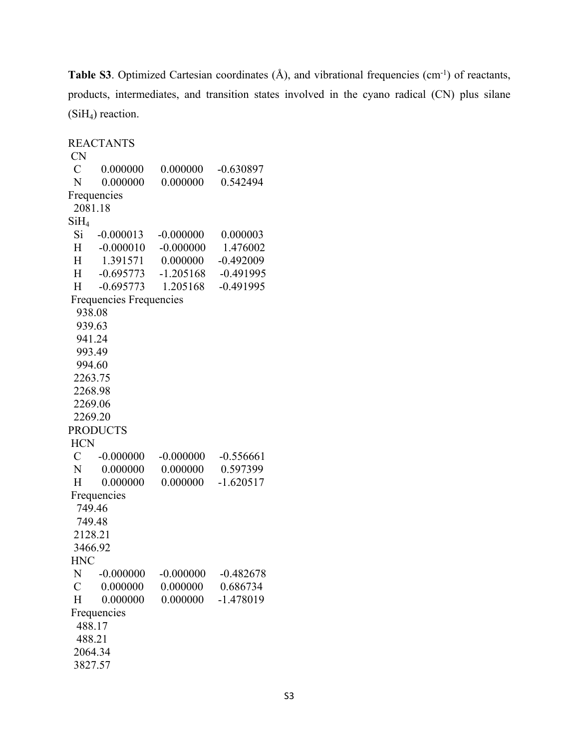**Table S3**. Optimized Cartesian coordinates  $(A)$ , and vibrational frequencies  $(cm<sup>-1</sup>)$  of reactants, products, intermediates, and transition states involved in the cyano radical (CN) plus silane  $(SiH<sub>4</sub>)$  reaction.

REACTANTS CN C 0.000000 0.000000 -0.630897 N 0.000000 0.000000 0.542494 Frequencies 2081.18  $SiH<sub>4</sub>$ Si -0.000013 -0.000000 0.000003 H -0.000010 -0.000000 1.476002 H 1.391571 0.000000 -0.492009 H -0.695773 -1.205168 -0.491995 H -0.695773 1.205168 -0.491995 Frequencies Frequencies 938.08 939.63 941.24 993.49 994.60 2263.75 2268.98 2269.06 2269.20 PRODUCTS **HCN** C  $-0.000000$   $-0.000000$   $-0.556661$ N 0.000000 0.000000 0.597399 H 0.000000 0.000000 -1.620517 Frequencies 749.46 749.48 2128.21 3466.92 HNC N -0.000000 -0.000000 -0.482678 C 0.000000 0.000000 0.686734 H 0.000000 0.000000 -1.478019 Frequencies 488.17 488.21 2064.34 3827.57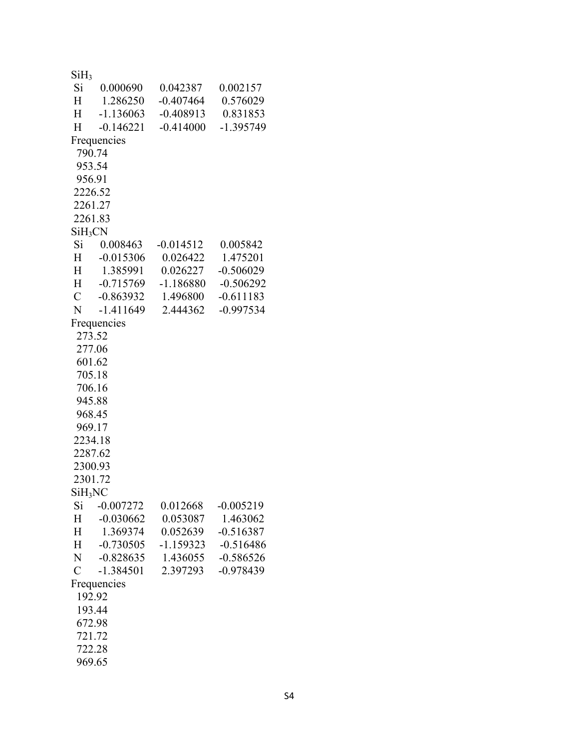| SiH <sub>3</sub>    |                 |             |             |
|---------------------|-----------------|-------------|-------------|
|                     | Si 0.000690     | 0.042387    | 0.002157    |
|                     | H 1.286250      | $-0.407464$ | 0.576029    |
| H                   | $-1.136063$     | $-0.408913$ | 0.831853    |
| H                   | $-0.146221$     | $-0.414000$ | $-1.395749$ |
|                     | Frequencies     |             |             |
| 790.74              |                 |             |             |
| 953.54              |                 |             |             |
| 956.91              |                 |             |             |
| 2226.52             |                 |             |             |
| 2261.27             |                 |             |             |
| 2261.83             |                 |             |             |
| $SiH_3CN$           |                 |             |             |
|                     | Si 0.008463     | $-0.014512$ | 0.005842    |
|                     | H -0.015306     | 0.026422    | 1.475201    |
| $H^-$               | 1.385991        | 0.026227    | $-0.506029$ |
|                     | H -0.715769     | $-1.186880$ | $-0.506292$ |
|                     | $C = -0.863932$ | 1.496800    | $-0.611183$ |
| N                   | -1.411649       | 2.444362    | $-0.997534$ |
|                     | Frequencies     |             |             |
| 273.52              |                 |             |             |
| 277.06              |                 |             |             |
| 601.62              |                 |             |             |
| 705.18              |                 |             |             |
| 706.16              |                 |             |             |
| 945.88              |                 |             |             |
| 968.45              |                 |             |             |
| 969.17              |                 |             |             |
| 2234.18             |                 |             |             |
| 2287.62             |                 |             |             |
| 2300.93             |                 |             |             |
| 2301.72             |                 |             |             |
| SiH <sub>3</sub> NC |                 |             |             |
| Si                  | $-0.007272$     | 0.012668    | $-0.005219$ |
| $H_{\parallel}$     | $-0.030662$     | 0.053087    | 1.463062    |
| H                   | 1.369374        | 0.052639    | $-0.516387$ |
| H                   | $-0.730505$     | $-1.159323$ | $-0.516486$ |
| N                   | $-0.828635$     | 1.436055    | $-0.586526$ |
| $\overline{C}$      | $-1.384501$     | 2.397293    | $-0.978439$ |
|                     | Frequencies     |             |             |
| 192.92              |                 |             |             |
| 193.44              |                 |             |             |
| 672.98              |                 |             |             |
| 721.72              |                 |             |             |
| 722.28              |                 |             |             |
| 969.65              |                 |             |             |
|                     |                 |             |             |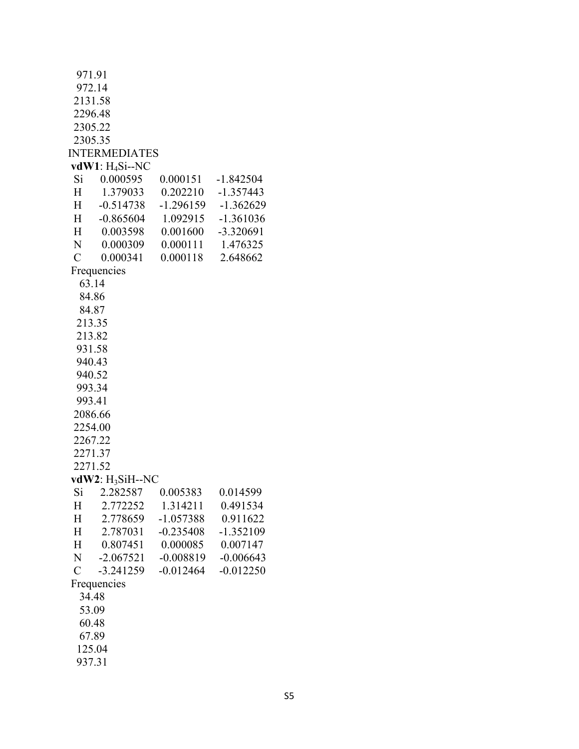| 972.14<br>2131.58<br>2296.48<br>2305.22<br>2305.35<br><b>INTERMEDIATES</b><br>vdW1: $H_4Si$ --NC<br>Si 0.000595<br>0.000151<br>$-1.842504$<br>0.202210 -1.357443<br>$H_{-}$<br>1.379033<br>$-0.514738$<br>$-1.296159$ $-1.362629$<br>H<br>H<br>$-0.865604$<br>1.092915<br>$-1.361036$<br>-3.320691<br>H<br>0.003598<br>0.001600<br>N<br>0.000309<br>0.000111<br>1.476325<br>$\mathcal{C}_{0}^{(n)}$<br>0.000118<br>0.000341<br>2.648662<br>Frequencies<br>63.14<br>84.86<br>84.87<br>213.35<br>213.82<br>931.58<br>940.43<br>940.52<br>993.34<br>993.41<br>2086.66<br>2254.00<br>2267.22<br>2271.37<br>2271.52<br>$vdW2$ : $H_3SiH-NC$<br>Si 2.282587 0.005383<br>0.014599<br>1.314211<br>0.491534<br>2.772252<br>Η<br>2.778659<br>$-1.057388$<br>0.911622<br>Н<br>Н<br>2.787031<br>$-0.235408$<br>$-1.352109$<br>0.807451<br>0.000085<br>0.007147<br>Η<br>N<br>$-2.067521$<br>$-0.008819$<br>$-0.006643$<br>$\mathcal{C}$<br>$-3.241259$<br>$-0.012464$<br>$-0.012250$<br>Frequencies<br>34.48<br>53.09<br>60.48<br>67.89<br>125.04<br>937.31 | 971.91 |  |  |
|------------------------------------------------------------------------------------------------------------------------------------------------------------------------------------------------------------------------------------------------------------------------------------------------------------------------------------------------------------------------------------------------------------------------------------------------------------------------------------------------------------------------------------------------------------------------------------------------------------------------------------------------------------------------------------------------------------------------------------------------------------------------------------------------------------------------------------------------------------------------------------------------------------------------------------------------------------------------------------------------------------------------------------------------|--------|--|--|
|                                                                                                                                                                                                                                                                                                                                                                                                                                                                                                                                                                                                                                                                                                                                                                                                                                                                                                                                                                                                                                                |        |  |  |
|                                                                                                                                                                                                                                                                                                                                                                                                                                                                                                                                                                                                                                                                                                                                                                                                                                                                                                                                                                                                                                                |        |  |  |
|                                                                                                                                                                                                                                                                                                                                                                                                                                                                                                                                                                                                                                                                                                                                                                                                                                                                                                                                                                                                                                                |        |  |  |
|                                                                                                                                                                                                                                                                                                                                                                                                                                                                                                                                                                                                                                                                                                                                                                                                                                                                                                                                                                                                                                                |        |  |  |
|                                                                                                                                                                                                                                                                                                                                                                                                                                                                                                                                                                                                                                                                                                                                                                                                                                                                                                                                                                                                                                                |        |  |  |
|                                                                                                                                                                                                                                                                                                                                                                                                                                                                                                                                                                                                                                                                                                                                                                                                                                                                                                                                                                                                                                                |        |  |  |
|                                                                                                                                                                                                                                                                                                                                                                                                                                                                                                                                                                                                                                                                                                                                                                                                                                                                                                                                                                                                                                                |        |  |  |
|                                                                                                                                                                                                                                                                                                                                                                                                                                                                                                                                                                                                                                                                                                                                                                                                                                                                                                                                                                                                                                                |        |  |  |
|                                                                                                                                                                                                                                                                                                                                                                                                                                                                                                                                                                                                                                                                                                                                                                                                                                                                                                                                                                                                                                                |        |  |  |
|                                                                                                                                                                                                                                                                                                                                                                                                                                                                                                                                                                                                                                                                                                                                                                                                                                                                                                                                                                                                                                                |        |  |  |
|                                                                                                                                                                                                                                                                                                                                                                                                                                                                                                                                                                                                                                                                                                                                                                                                                                                                                                                                                                                                                                                |        |  |  |
|                                                                                                                                                                                                                                                                                                                                                                                                                                                                                                                                                                                                                                                                                                                                                                                                                                                                                                                                                                                                                                                |        |  |  |
|                                                                                                                                                                                                                                                                                                                                                                                                                                                                                                                                                                                                                                                                                                                                                                                                                                                                                                                                                                                                                                                |        |  |  |
|                                                                                                                                                                                                                                                                                                                                                                                                                                                                                                                                                                                                                                                                                                                                                                                                                                                                                                                                                                                                                                                |        |  |  |
|                                                                                                                                                                                                                                                                                                                                                                                                                                                                                                                                                                                                                                                                                                                                                                                                                                                                                                                                                                                                                                                |        |  |  |
|                                                                                                                                                                                                                                                                                                                                                                                                                                                                                                                                                                                                                                                                                                                                                                                                                                                                                                                                                                                                                                                |        |  |  |
|                                                                                                                                                                                                                                                                                                                                                                                                                                                                                                                                                                                                                                                                                                                                                                                                                                                                                                                                                                                                                                                |        |  |  |
|                                                                                                                                                                                                                                                                                                                                                                                                                                                                                                                                                                                                                                                                                                                                                                                                                                                                                                                                                                                                                                                |        |  |  |
|                                                                                                                                                                                                                                                                                                                                                                                                                                                                                                                                                                                                                                                                                                                                                                                                                                                                                                                                                                                                                                                |        |  |  |
|                                                                                                                                                                                                                                                                                                                                                                                                                                                                                                                                                                                                                                                                                                                                                                                                                                                                                                                                                                                                                                                |        |  |  |
|                                                                                                                                                                                                                                                                                                                                                                                                                                                                                                                                                                                                                                                                                                                                                                                                                                                                                                                                                                                                                                                |        |  |  |
|                                                                                                                                                                                                                                                                                                                                                                                                                                                                                                                                                                                                                                                                                                                                                                                                                                                                                                                                                                                                                                                |        |  |  |
|                                                                                                                                                                                                                                                                                                                                                                                                                                                                                                                                                                                                                                                                                                                                                                                                                                                                                                                                                                                                                                                |        |  |  |
|                                                                                                                                                                                                                                                                                                                                                                                                                                                                                                                                                                                                                                                                                                                                                                                                                                                                                                                                                                                                                                                |        |  |  |
|                                                                                                                                                                                                                                                                                                                                                                                                                                                                                                                                                                                                                                                                                                                                                                                                                                                                                                                                                                                                                                                |        |  |  |
|                                                                                                                                                                                                                                                                                                                                                                                                                                                                                                                                                                                                                                                                                                                                                                                                                                                                                                                                                                                                                                                |        |  |  |
|                                                                                                                                                                                                                                                                                                                                                                                                                                                                                                                                                                                                                                                                                                                                                                                                                                                                                                                                                                                                                                                |        |  |  |
|                                                                                                                                                                                                                                                                                                                                                                                                                                                                                                                                                                                                                                                                                                                                                                                                                                                                                                                                                                                                                                                |        |  |  |
|                                                                                                                                                                                                                                                                                                                                                                                                                                                                                                                                                                                                                                                                                                                                                                                                                                                                                                                                                                                                                                                |        |  |  |
|                                                                                                                                                                                                                                                                                                                                                                                                                                                                                                                                                                                                                                                                                                                                                                                                                                                                                                                                                                                                                                                |        |  |  |
|                                                                                                                                                                                                                                                                                                                                                                                                                                                                                                                                                                                                                                                                                                                                                                                                                                                                                                                                                                                                                                                |        |  |  |
|                                                                                                                                                                                                                                                                                                                                                                                                                                                                                                                                                                                                                                                                                                                                                                                                                                                                                                                                                                                                                                                |        |  |  |
|                                                                                                                                                                                                                                                                                                                                                                                                                                                                                                                                                                                                                                                                                                                                                                                                                                                                                                                                                                                                                                                |        |  |  |
|                                                                                                                                                                                                                                                                                                                                                                                                                                                                                                                                                                                                                                                                                                                                                                                                                                                                                                                                                                                                                                                |        |  |  |
|                                                                                                                                                                                                                                                                                                                                                                                                                                                                                                                                                                                                                                                                                                                                                                                                                                                                                                                                                                                                                                                |        |  |  |
|                                                                                                                                                                                                                                                                                                                                                                                                                                                                                                                                                                                                                                                                                                                                                                                                                                                                                                                                                                                                                                                |        |  |  |
|                                                                                                                                                                                                                                                                                                                                                                                                                                                                                                                                                                                                                                                                                                                                                                                                                                                                                                                                                                                                                                                |        |  |  |
|                                                                                                                                                                                                                                                                                                                                                                                                                                                                                                                                                                                                                                                                                                                                                                                                                                                                                                                                                                                                                                                |        |  |  |
|                                                                                                                                                                                                                                                                                                                                                                                                                                                                                                                                                                                                                                                                                                                                                                                                                                                                                                                                                                                                                                                |        |  |  |
|                                                                                                                                                                                                                                                                                                                                                                                                                                                                                                                                                                                                                                                                                                                                                                                                                                                                                                                                                                                                                                                |        |  |  |
|                                                                                                                                                                                                                                                                                                                                                                                                                                                                                                                                                                                                                                                                                                                                                                                                                                                                                                                                                                                                                                                |        |  |  |
|                                                                                                                                                                                                                                                                                                                                                                                                                                                                                                                                                                                                                                                                                                                                                                                                                                                                                                                                                                                                                                                |        |  |  |
|                                                                                                                                                                                                                                                                                                                                                                                                                                                                                                                                                                                                                                                                                                                                                                                                                                                                                                                                                                                                                                                |        |  |  |
|                                                                                                                                                                                                                                                                                                                                                                                                                                                                                                                                                                                                                                                                                                                                                                                                                                                                                                                                                                                                                                                |        |  |  |
|                                                                                                                                                                                                                                                                                                                                                                                                                                                                                                                                                                                                                                                                                                                                                                                                                                                                                                                                                                                                                                                |        |  |  |
|                                                                                                                                                                                                                                                                                                                                                                                                                                                                                                                                                                                                                                                                                                                                                                                                                                                                                                                                                                                                                                                |        |  |  |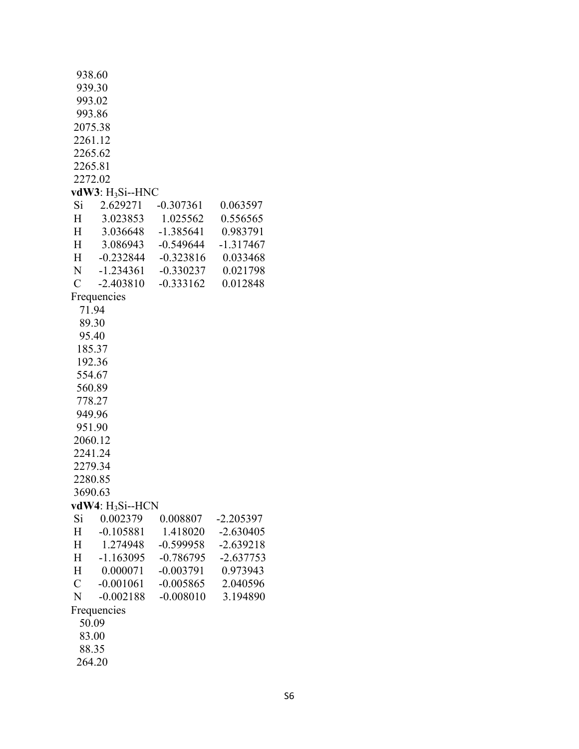|                 | 938.60                 |             |             |
|-----------------|------------------------|-------------|-------------|
|                 | 939.30                 |             |             |
|                 | 993.02                 |             |             |
|                 | 993.86                 |             |             |
|                 | 2075.38                |             |             |
|                 | 2261.12                |             |             |
|                 | 2265.62                |             |             |
|                 | 2265.81                |             |             |
|                 | 2272.02                |             |             |
|                 | vdW3: $H_3Si$ --HNC    |             |             |
| Si              | 2.629271               | $-0.307361$ | 0.063597    |
| $H_{-}$         | 3.023853               | 1.025562    | 0.556565    |
| $H_{\parallel}$ | 3.036648               | $-1.385641$ | 0.983791    |
| $H_{-}$         | 3.086943               | -0.549644   | $-1.317467$ |
| H               | $-0.232844$            | $-0.323816$ | 0.033468    |
| N -             | $-1.234361$            | $-0.330237$ | 0.021798    |
| $\mathcal{C}$   | $-2.403810$            | $-0.333162$ | 0.012848    |
|                 | Frequencies            |             |             |
|                 | 71.94                  |             |             |
|                 | 89.30                  |             |             |
|                 | 95.40                  |             |             |
|                 | 185.37                 |             |             |
|                 | 192.36                 |             |             |
|                 | 554.67                 |             |             |
|                 | 560.89                 |             |             |
|                 | 778.27                 |             |             |
|                 | 949.96                 |             |             |
|                 | 951.90                 |             |             |
|                 | 2060.12                |             |             |
|                 | 2241.24                |             |             |
|                 | 2279.34                |             |             |
|                 | 2280.85                |             |             |
|                 | 3690.63                |             |             |
|                 | $vdW4$ : $H_3Si$ --HCN |             |             |
| Si              | 0.002379               | 0.008807    | $-2.205397$ |
| H               | $-0.105881$            | 1.418020    | $-2.630405$ |
| H               | 1.274948               | $-0.599958$ | $-2.639218$ |
| H               | $-1.163095$            | $-0.786795$ | $-2.637753$ |
| H               | 0.000071               | $-0.003791$ | 0.973943    |
| $\mathcal{C}$   | $-0.001061$            | $-0.005865$ | 2.040596    |
| N               | $-0.002188$            | $-0.008010$ | 3.194890    |
|                 | Frequencies            |             |             |
|                 | 50.09                  |             |             |
|                 | 83.00                  |             |             |
|                 | 88.35                  |             |             |
|                 | 264.20                 |             |             |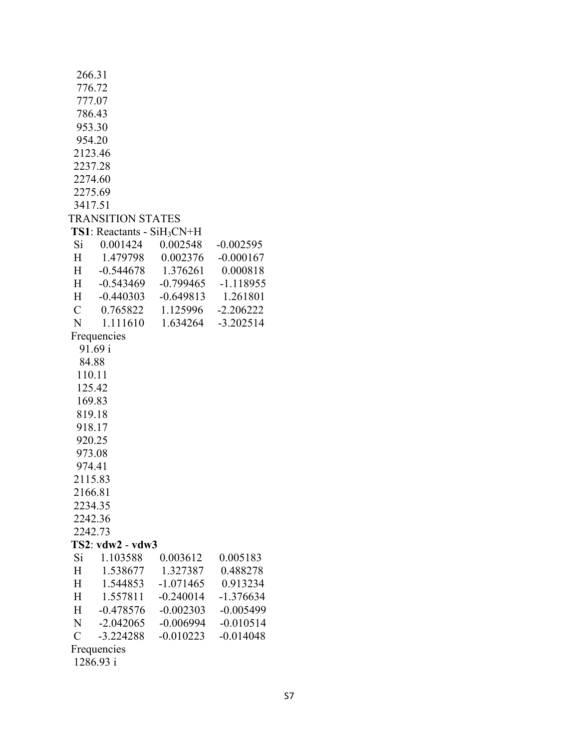|                 | 266.31                               |                     |             |
|-----------------|--------------------------------------|---------------------|-------------|
|                 | 776.72                               |                     |             |
|                 | 777.07                               |                     |             |
|                 | 786.43                               |                     |             |
|                 | 953.30                               |                     |             |
|                 | 954.20                               |                     |             |
|                 | 2123.46                              |                     |             |
|                 | 2237.28                              |                     |             |
|                 | 2274.60                              |                     |             |
|                 | 2275.69                              |                     |             |
|                 | 3417.51                              |                     |             |
|                 | <b>TRANSITION STATES</b>             |                     |             |
|                 | <b>TS1</b> : Reactants - $SiH_3CN+H$ |                     |             |
|                 |                                      | 0.002548            |             |
| Si              | 0.001424                             |                     | $-0.002595$ |
| $H^-$           |                                      | 1.479798   0.002376 | $-0.000167$ |
| $H^-$           | -0.544678                            | 1.376261            | 0.000818    |
| $H_{-}$         | $-0.543469$                          | $-0.799465$         | $-1.118955$ |
| H               | -0.440303                            | $-0.649813$         | 1.261801    |
| $\mathbf C$     | 0.765822                             | 1.125996            | $-2.206222$ |
| N               | 1.111610                             | 1.634264            | $-3.202514$ |
|                 | Frequencies                          |                     |             |
|                 | 91.69 i                              |                     |             |
|                 | 84.88                                |                     |             |
|                 | 110.11                               |                     |             |
|                 | 125.42                               |                     |             |
|                 | 169.83                               |                     |             |
|                 | 819.18                               |                     |             |
|                 | 918.17                               |                     |             |
|                 | 920.25                               |                     |             |
|                 | 973.08                               |                     |             |
|                 | 974.41                               |                     |             |
|                 | 2115.83                              |                     |             |
|                 | 2166.81                              |                     |             |
|                 | 2234.35                              |                     |             |
|                 | 2242.36                              |                     |             |
|                 | 2242.73                              |                     |             |
|                 |                                      |                     |             |
|                 | TS2: vdw2 - vdw3                     |                     |             |
| Si              | 1.103588                             | 0.003612            | 0.005183    |
| H               | 1.538677                             | 1.327387            | 0.488278    |
| H               | 1.544853                             | $-1.071465$         | 0.913234    |
| Η               | 1.557811                             | $-0.240014$         | $-1.376634$ |
| $H_{\parallel}$ | $-0.478576$                          | $-0.002303$         | $-0.005499$ |
| N               | $-2.042065$                          | $-0.006994$         | $-0.010514$ |
| $\overline{C}$  | $-3.224288$                          | $-0.010223$         | $-0.014048$ |
|                 | Frequencies                          |                     |             |
|                 | 1286.93 i                            |                     |             |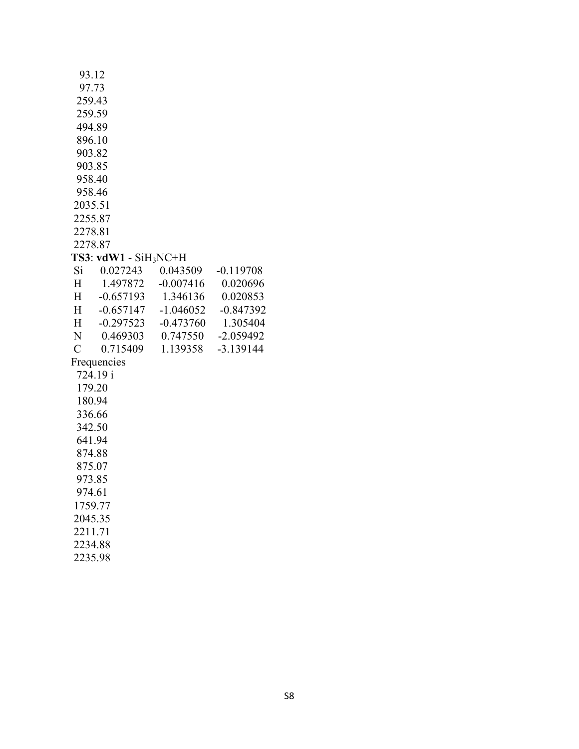|                 | 93.12                   |             |             |
|-----------------|-------------------------|-------------|-------------|
|                 | 97.73                   |             |             |
|                 | 259.43                  |             |             |
|                 | 259.59                  |             |             |
|                 | 494.89                  |             |             |
|                 | 896.10                  |             |             |
|                 | 903.82                  |             |             |
|                 | 903.85                  |             |             |
|                 | 958.40                  |             |             |
|                 | 958.46                  |             |             |
|                 | 2035.51                 |             |             |
|                 | 2255.87<br>2278.81      |             |             |
|                 | 2278.87                 |             |             |
|                 | $TS3: vdW1 - SiH_3NC+H$ |             |             |
| Si              | 0.027243                | 0.043509    | $-0.119708$ |
| $H_{\parallel}$ | 1.497872                | $-0.007416$ | 0.020696    |
| H               | $-0.657193$             | 1.346136    | 0.020853    |
| H               | $-0.657147$             | $-1.046052$ | $-0.847392$ |
| $H_{-}$         | $-0.297523$             | $-0.473760$ | 1.305404    |
| N               | 0.469303                | 0.747550    | $-2.059492$ |
| $\mathcal{C}$   | 0.715409                | 1.139358    | $-3.139144$ |
|                 | Frequencies             |             |             |
|                 | 724.19 i                |             |             |
|                 | 179.20                  |             |             |
|                 | 180.94                  |             |             |
|                 | 336.66                  |             |             |
|                 | 342.50                  |             |             |
|                 | 641.94                  |             |             |
|                 | 874.88                  |             |             |
|                 | 875.07                  |             |             |
|                 | 973.85                  |             |             |
|                 | 974.61                  |             |             |
|                 | 1759.77                 |             |             |
|                 | 2045.35                 |             |             |
|                 | 2211.71                 |             |             |
|                 | 2234.88                 |             |             |
|                 | 2235.98                 |             |             |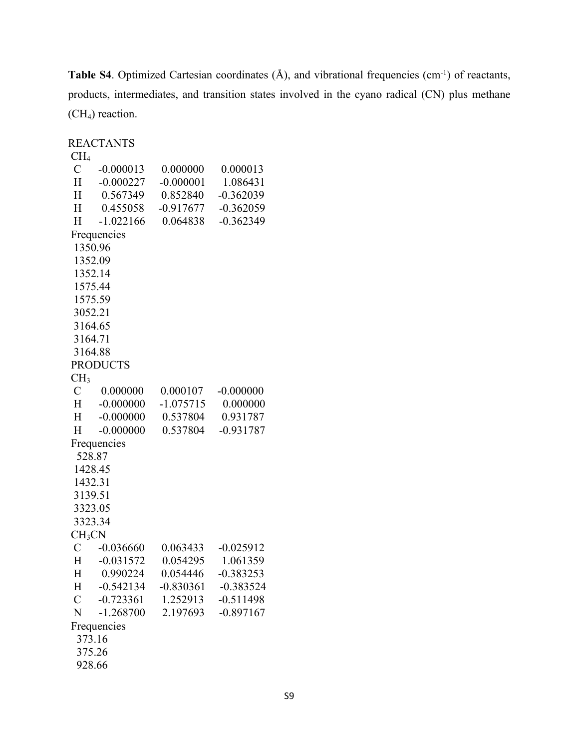Table S4. Optimized Cartesian coordinates (Å), and vibrational frequencies (cm<sup>-1</sup>) of reactants, products, intermediates, and transition states involved in the cyano radical (CN) plus methane (CH4) reaction.

|                    | <b>REACTANTS</b> |             |             |
|--------------------|------------------|-------------|-------------|
| CH <sub>4</sub>    |                  |             |             |
|                    | $C = -0.000013$  | 0.000000    | 0.000013    |
|                    | H -0.000227      | $-0.000001$ | 1.086431    |
| H                  | 0.567349         | 0.852840    | $-0.362039$ |
| H                  | 0.455058         | $-0.917677$ | $-0.362059$ |
| H                  | $-1.022166$      | 0.064838    | $-0.362349$ |
|                    | Frequencies      |             |             |
| 1350.96            |                  |             |             |
| 1352.09            |                  |             |             |
| 1352.14            |                  |             |             |
| 1575.44            |                  |             |             |
| 1575.59            |                  |             |             |
| 3052.21            |                  |             |             |
| 3164.65            |                  |             |             |
| 3164.71            |                  |             |             |
| 3164.88            |                  |             |             |
|                    | <b>PRODUCTS</b>  |             |             |
| CH <sub>3</sub>    |                  |             |             |
|                    | $C = 0.000000$   | 0.000107    | $-0.000000$ |
|                    | $H -0.000000$    | $-1.075715$ | 0.000000    |
|                    | $H -0.000000$    | 0.537804    | 0.931787    |
| H                  | $-0.000000$      | 0.537804    | $-0.931787$ |
|                    | Frequencies      |             |             |
| 528.87             |                  |             |             |
| 1428.45            |                  |             |             |
| 1432.31            |                  |             |             |
| 3139.51            |                  |             |             |
| 3323.05            |                  |             |             |
| 3323.34            |                  |             |             |
| CH <sub>3</sub> CN |                  |             |             |
| C                  | $-0.036660$      | 0.063433    | $-0.025912$ |
|                    | H -0.031572      | 0.054295    | 1.061359    |
| Н                  | 0.990224         | 0.054446    | $-0.383253$ |
| Η                  | $-0.542134$      | $-0.830361$ | $-0.383524$ |
| $\mathcal{C}$      | $-0.723361$      | 1.252913    | $-0.511498$ |
| N                  | $-1.268700$      | 2.197693    | $-0.897167$ |
|                    | Frequencies      |             |             |
| 373.16             |                  |             |             |
| 375.26             |                  |             |             |
| 928.66             |                  |             |             |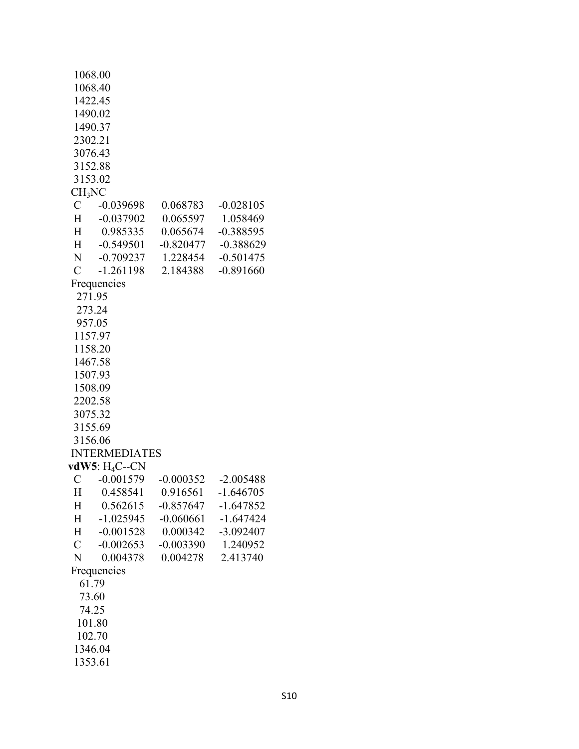|                    | 1068.00              |                        |                    |
|--------------------|----------------------|------------------------|--------------------|
|                    | 1068.40              |                        |                    |
|                    | 1422.45              |                        |                    |
|                    | 1490.02              |                        |                    |
|                    | 1490.37              |                        |                    |
|                    | 2302.21              |                        |                    |
|                    | 3076.43              |                        |                    |
|                    |                      |                        |                    |
|                    | 3152.88              |                        |                    |
|                    | 3153.02              |                        |                    |
| CH <sub>3</sub> NC |                      |                        |                    |
|                    | $C -0.039698$        | 0.068783               | $-0.028105$        |
|                    | H -0.037902          | 0.065597               | 1.058469           |
|                    | H 0.985335           | 0.065674               | $-0.388595$        |
| H                  | $-0.549501$          | $-0.820477$            | $-0.388629$        |
| N                  | $-0.709237$          | 1.228454               | $-0.501475$        |
| $\overline{C}$     | $-1.261198$          | 2.184388               | $-0.891660$        |
|                    | Frequencies          |                        |                    |
|                    | 271.95               |                        |                    |
|                    | 273.24               |                        |                    |
|                    | 957.05               |                        |                    |
|                    | 1157.97              |                        |                    |
|                    |                      |                        |                    |
|                    | 1158.20              |                        |                    |
|                    | 1467.58              |                        |                    |
|                    | 1507.93              |                        |                    |
|                    | 1508.09              |                        |                    |
|                    | 2202.58              |                        |                    |
|                    | 3075.32              |                        |                    |
|                    | 3155.69              |                        |                    |
|                    | 3156.06              |                        |                    |
|                    | <b>INTERMEDIATES</b> |                        |                    |
|                    | vdW5: $H_4C$ --CN    |                        |                    |
| C                  | $-0.001579$          | $-0.000352 - 2.005488$ |                    |
|                    | H 0.458541           |                        | 0.916561 -1.646705 |
| Н                  | 0.562615             | $-0.857647$            | $-1.647852$        |
| Η                  | $-1.025945$          | $-0.060661$            | $-1.647424$        |
| H                  | $-0.001528$          | 0.000342               | $-3.092407$        |
| $\mathcal{C}$      | $-0.002653$          | $-0.003390$            | 1.240952           |
| N                  | 0.004378             | 0.004278               | 2.413740           |
|                    |                      |                        |                    |
|                    | Frequencies          |                        |                    |
|                    | 61.79                |                        |                    |
|                    | 73.60                |                        |                    |
|                    | 74.25                |                        |                    |
|                    | 101.80               |                        |                    |
|                    | 102.70               |                        |                    |
|                    | 1346.04              |                        |                    |
|                    | 1353.61              |                        |                    |
|                    |                      |                        |                    |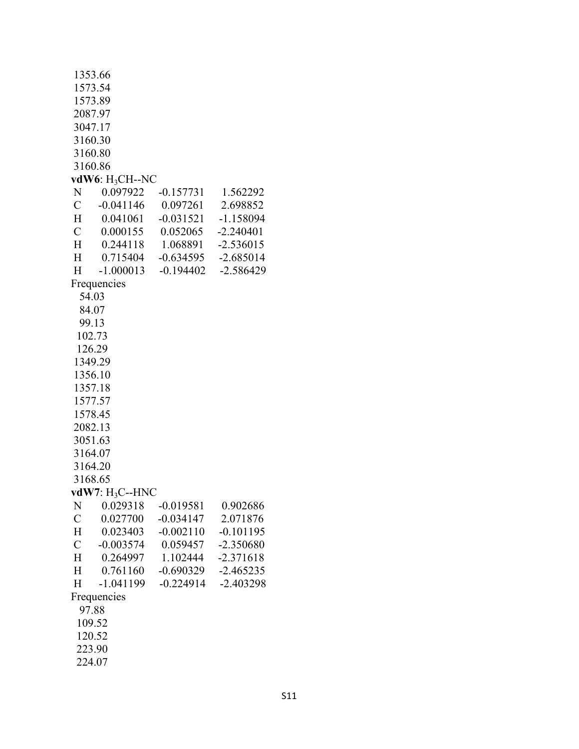|               | 1353.66            |             |             |
|---------------|--------------------|-------------|-------------|
|               | 1573.54            |             |             |
|               | 1573.89            |             |             |
|               | 2087.97            |             |             |
|               | 3047.17            |             |             |
| 3160.30       |                    |             |             |
|               | 3160.80            |             |             |
| 3160.86       |                    |             |             |
|               | vdW6: $H_3CH$ --NC |             |             |
| N             | 0.097922           | $-0.157731$ | 1.562292    |
| $\mathbf C$   | $-0.041146$        | 0.097261    | 2.698852    |
| H             | 0.041061           | $-0.031521$ | $-1.158094$ |
| $\mathcal{C}$ | 0.000155           | 0.052065    | $-2.240401$ |
| H             | 0.244118           | 1.068891    | $-2.536015$ |
| H             | 0.715404           | $-0.634595$ | $-2.685014$ |
| H             | $-1.000013$        | $-0.194402$ | $-2.586429$ |
|               | Frequencies        |             |             |
| 54.03         |                    |             |             |
|               | 84.07              |             |             |
|               | 99.13              |             |             |
|               | 102.73             |             |             |
|               | 126.29             |             |             |
|               | 1349.29            |             |             |
|               | 1356.10            |             |             |
|               | 1357.18            |             |             |
|               | 1577.57            |             |             |
|               | 1578.45            |             |             |
| 2082.13       |                    |             |             |
|               | 3051.63            |             |             |
|               | 3164.07            |             |             |
| 3164.20       |                    |             |             |
| 3168.65       |                    |             |             |
|               | vdW7: $H_3C$ --HNC |             |             |
| N             | 0.029318           | $-0.019581$ | 0.902686    |
| $\mathcal{C}$ | 0.027700           | $-0.034147$ | 2.071876    |
| H             | 0.023403           | $-0.002110$ | $-0.101195$ |
| $\mathcal{C}$ | $-0.003574$        | 0.059457    | $-2.350680$ |
| H             | 0.264997           | 1.102444    | $-2.371618$ |
| $\mathbf H$   | 0.761160           | $-0.690329$ | $-2.465235$ |
| Η             | $-1.041199$        | $-0.224914$ | $-2.403298$ |
|               |                    |             |             |
|               | Frequencies        |             |             |
|               | 97.88              |             |             |
|               | 109.52             |             |             |
|               | 120.52             |             |             |
| 223.90        |                    |             |             |
| 224.07        |                    |             |             |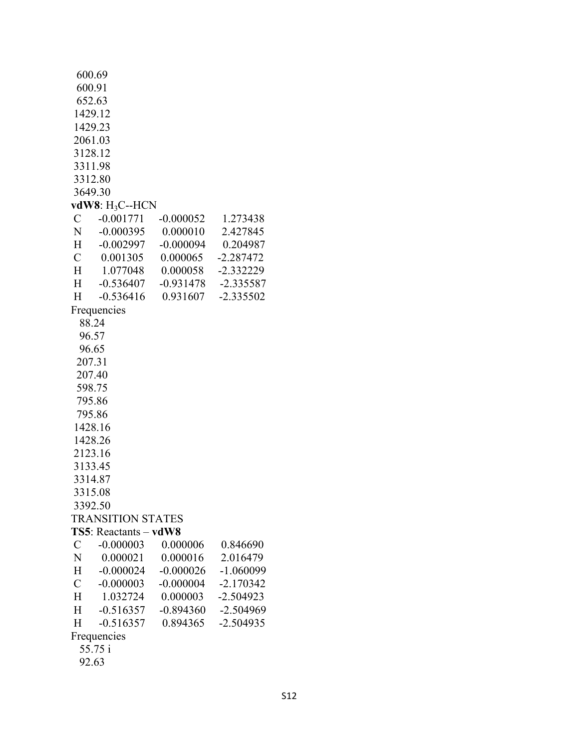| 600.69              |                          |             |             |
|---------------------|--------------------------|-------------|-------------|
| 600.91              |                          |             |             |
| 652.63              |                          |             |             |
|                     | 1429.12                  |             |             |
| 1429.23             |                          |             |             |
| 2061.03             |                          |             |             |
| 3128.12             |                          |             |             |
| 3311.98             |                          |             |             |
| 3312.80             |                          |             |             |
| 3649.30             |                          |             |             |
|                     | $vdW8: H_3C-HCN$         |             |             |
| $\mathbf C$         | $-0.001771$              | $-0.000052$ | 1.273438    |
| N                   | $-0.000395$              | 0.000010    | 2.427845    |
| $H^-$               | $-0.002997$              | $-0.000094$ | 0.204987    |
| $\mathbf C$         | 0.001305                 | 0.000065    | $-2.287472$ |
| H                   | 1.077048                 | 0.000058    | $-2.332229$ |
| $H_{-}$             | $-0.536407$              | $-0.931478$ | $-2.335587$ |
| H                   | $-0.536416$              | 0.931607    | $-2.335502$ |
|                     | Frequencies              |             |             |
| 88.24               |                          |             |             |
| 96.57               |                          |             |             |
| 96.65               |                          |             |             |
| 207.31              |                          |             |             |
| 207.40              |                          |             |             |
| 598.75              |                          |             |             |
|                     |                          |             |             |
| 795.86              |                          |             |             |
|                     | 795.86                   |             |             |
|                     | 1428.16                  |             |             |
|                     | 1428.26                  |             |             |
| 2123.16             |                          |             |             |
| 3133.45             |                          |             |             |
| 3314.87             |                          |             |             |
| 3315.08             |                          |             |             |
| 3392.50             |                          |             |             |
|                     | <b>TRANSITION STATES</b> |             |             |
|                     | $TS5$ : Reactants – vdW8 |             |             |
| $\mathcal{C}$       | $-0.000003$              | 0.000006    | 0.846690    |
| $N_{\rm \, \, \, }$ | 0.000021                 | 0.000016    | 2.016479    |
| $H^-$               | $-0.000024$              | $-0.000026$ | $-1.060099$ |
| $\mathcal{C}$       | $-0.000003$              | $-0.000004$ | $-2.170342$ |
| $H_{\parallel}$     | 1.032724                 | 0.000003    | $-2.504923$ |
| $H^-$               | $-0.516357$              | $-0.894360$ | $-2.504969$ |
| H                   | $-0.516357$              | 0.894365    | $-2.504935$ |
|                     | Frequencies              |             |             |
|                     | 55.75 i                  |             |             |
| 92.63               |                          |             |             |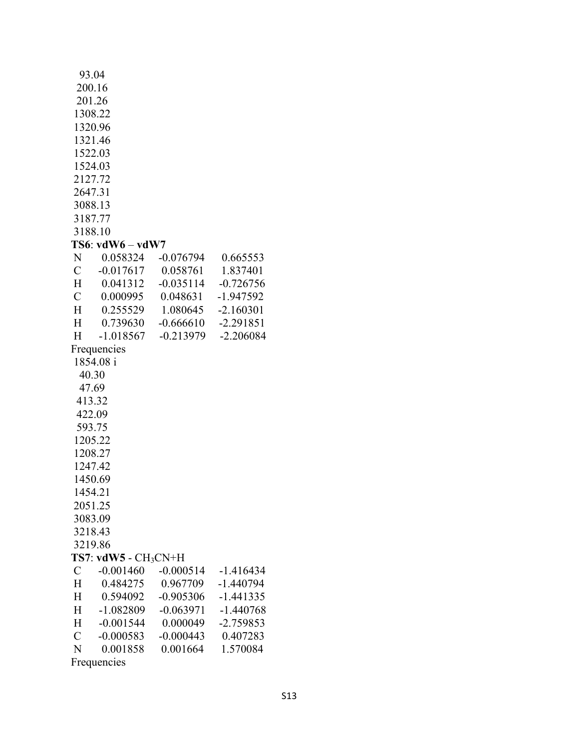|              | 93.04                   |                      |             |
|--------------|-------------------------|----------------------|-------------|
|              | 200.16                  |                      |             |
|              | 201.26                  |                      |             |
|              | 1308.22                 |                      |             |
|              | 1320.96                 |                      |             |
|              | 1321.46                 |                      |             |
|              | 1522.03                 |                      |             |
|              | 1524.03                 |                      |             |
|              | 2127.72                 |                      |             |
|              | 2647.31                 |                      |             |
|              | 3088.13                 |                      |             |
|              | 3187.77                 |                      |             |
|              | 3188.10                 |                      |             |
|              |                         |                      |             |
|              | $TS6: vdW6-vdW7$        |                      |             |
| N            | 0.058324                | $-0.076794$          | 0.665553    |
| $\mathbf{C}$ | $-0.017617$             | 0.058761             | 1.837401    |
| H            | 0.041312                | $-0.035114$          | $-0.726756$ |
| $\mathbf{C}$ | 0.000995                | 0.048631             | -1.947592   |
| H            | 0.255529                | 1.080645             | $-2.160301$ |
| Н            | 0.739630                | $-0.666610$          | $-2.291851$ |
| H            | $-1.018567$             | $-0.213979$          | $-2.206084$ |
|              | Frequencies             |                      |             |
|              | 1854.08 i               |                      |             |
|              | 40.30                   |                      |             |
|              | 47.69                   |                      |             |
|              | 413.32                  |                      |             |
|              | 422.09                  |                      |             |
|              | 593.75                  |                      |             |
|              | 1205.22                 |                      |             |
|              | 1208.27                 |                      |             |
|              | 1247.42                 |                      |             |
|              | 1450.69                 |                      |             |
|              | 1454.21                 |                      |             |
|              | 2051.25                 |                      |             |
|              | 3083.09                 |                      |             |
|              | 3218.43                 |                      |             |
|              | 3219.86                 |                      |             |
|              | $TS7: v dW5 - CH_3CN+H$ |                      |             |
| $\mathbf C$  | $-0.001460$             | $-0.000514$          | $-1.416434$ |
| Η            | 0.484275                | 0.967709             | $-1.440794$ |
| H            | 0.594092                | $-0.905306$          | $-1.441335$ |
| H            | $-1.082809$             | $-0.063971$          | $-1.440768$ |
| H            | $-0.001544$             | 0.000049             | $-2.759853$ |
| $\mathbf{C}$ | $-0.000583$             | $-0.000443$ 0.407283 |             |
| N            | 0.001858                | 0.001664             | 1.570084    |
|              | Frequencies             |                      |             |
|              |                         |                      |             |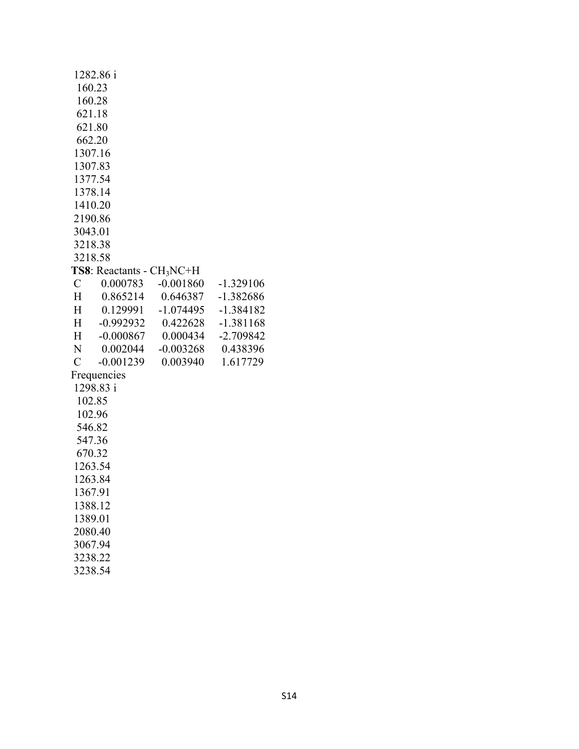|                                       | 1282.86 i   |             |             |
|---------------------------------------|-------------|-------------|-------------|
|                                       | 160.23      |             |             |
| 160.28                                |             |             |             |
| 621.18                                |             |             |             |
| 621.80                                |             |             |             |
| 662.20                                |             |             |             |
| 1307.16                               |             |             |             |
| 1307.83                               |             |             |             |
| 1377.54                               |             |             |             |
| 1378.14                               |             |             |             |
| 1410.20                               |             |             |             |
| 2190.86                               |             |             |             |
| 3043.01                               |             |             |             |
| 3218.38                               |             |             |             |
| 3218.58                               |             |             |             |
| TS8: Reactants - CH <sub>3</sub> NC+H |             |             |             |
| $\mathcal{C}$                         | 0.000783    | $-0.001860$ | $-1.329106$ |
| H                                     | 0.865214    | 0.646387    | $-1.382686$ |
| H                                     | 0.129991    | -1.074495   | $-1.384182$ |
| $H^-$                                 | $-0.992932$ | 0.422628    | $-1.381168$ |
| H                                     | $-0.000867$ | 0.000434    | $-2.709842$ |
| N                                     | 0.002044    | $-0.003268$ | 0.438396    |
| $\mathcal{C}$                         | $-0.001239$ | 0.003940    | 1.617729    |
|                                       | Frequencies |             |             |
| 1298.83 i                             |             |             |             |
| 102.85                                |             |             |             |
| 102.96                                |             |             |             |
| 546.82                                |             |             |             |
| 547.36                                |             |             |             |
| 670.32                                |             |             |             |
| 1263.54                               |             |             |             |
| 1263.84                               |             |             |             |
| 1367.91                               |             |             |             |
| 1388.12                               |             |             |             |
| 1389.01                               |             |             |             |
| 2080.40                               |             |             |             |
| 3067.94                               |             |             |             |
| 3238.22                               |             |             |             |

3238.54